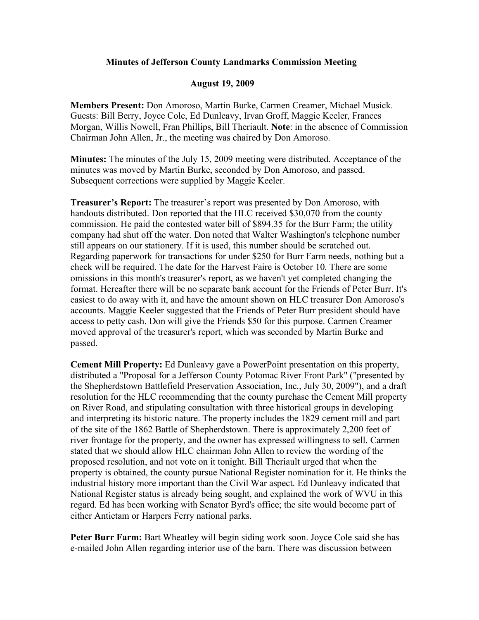## **Minutes of Jefferson County Landmarks Commission Meeting**

## **August 19, 2009**

**Members Present:** Don Amoroso, Martin Burke, Carmen Creamer, Michael Musick. Guests: Bill Berry, Joyce Cole, Ed Dunleavy, Irvan Groff, Maggie Keeler, Frances Morgan, Willis Nowell, Fran Phillips, Bill Theriault. **Note**: in the absence of Commission Chairman John Allen, Jr., the meeting was chaired by Don Amoroso.

**Minutes:** The minutes of the July 15, 2009 meeting were distributed. Acceptance of the minutes was moved by Martin Burke, seconded by Don Amoroso, and passed. Subsequent corrections were supplied by Maggie Keeler.

**Treasurer's Report:** The treasurer's report was presented by Don Amoroso, with handouts distributed. Don reported that the HLC received \$30,070 from the county commission. He paid the contested water bill of \$894.35 for the Burr Farm; the utility company had shut off the water. Don noted that Walter Washington's telephone number still appears on our stationery. If it is used, this number should be scratched out. Regarding paperwork for transactions for under \$250 for Burr Farm needs, nothing but a check will be required. The date for the Harvest Faire is October 10. There are some omissions in this month's treasurer's report, as we haven't yet completed changing the format. Hereafter there will be no separate bank account for the Friends of Peter Burr. It's easiest to do away with it, and have the amount shown on HLC treasurer Don Amoroso's accounts. Maggie Keeler suggested that the Friends of Peter Burr president should have access to petty cash. Don will give the Friends \$50 for this purpose. Carmen Creamer moved approval of the treasurer's report, which was seconded by Martin Burke and passed.

**Cement Mill Property:** Ed Dunleavy gave a PowerPoint presentation on this property, distributed a "Proposal for a Jefferson County Potomac River Front Park" ("presented by the Shepherdstown Battlefield Preservation Association, Inc., July 30, 2009"), and a draft resolution for the HLC recommending that the county purchase the Cement Mill property on River Road, and stipulating consultation with three historical groups in developing and interpreting its historic nature. The property includes the 1829 cement mill and part of the site of the 1862 Battle of Shepherdstown. There is approximately 2,200 feet of river frontage for the property, and the owner has expressed willingness to sell. Carmen stated that we should allow HLC chairman John Allen to review the wording of the proposed resolution, and not vote on it tonight. Bill Theriault urged that when the property is obtained, the county pursue National Register nomination for it. He thinks the industrial history more important than the Civil War aspect. Ed Dunleavy indicated that National Register status is already being sought, and explained the work of WVU in this regard. Ed has been working with Senator Byrd's office; the site would become part of either Antietam or Harpers Ferry national parks.

**Peter Burr Farm:** Bart Wheatley will begin siding work soon. Joyce Cole said she has e-mailed John Allen regarding interior use of the barn. There was discussion between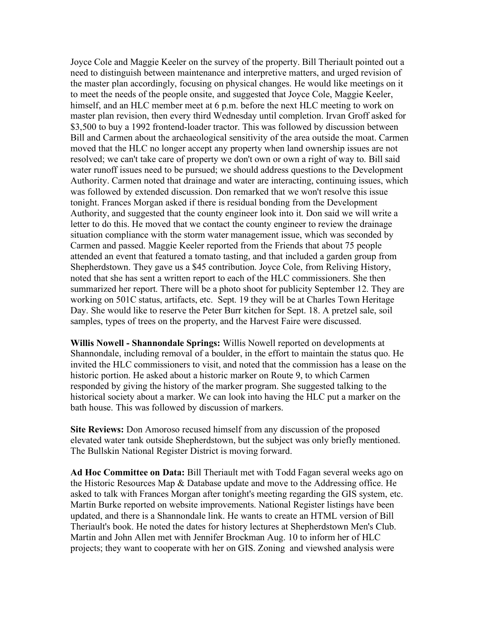Joyce Cole and Maggie Keeler on the survey of the property. Bill Theriault pointed out a need to distinguish between maintenance and interpretive matters, and urged revision of the master plan accordingly, focusing on physical changes. He would like meetings on it to meet the needs of the people onsite, and suggested that Joyce Cole, Maggie Keeler, himself, and an HLC member meet at 6 p.m. before the next HLC meeting to work on master plan revision, then every third Wednesday until completion. Irvan Groff asked for \$3,500 to buy a 1992 frontend-loader tractor. This was followed by discussion between Bill and Carmen about the archaeological sensitivity of the area outside the moat. Carmen moved that the HLC no longer accept any property when land ownership issues are not resolved; we can't take care of property we don't own or own a right of way to. Bill said water runoff issues need to be pursued; we should address questions to the Development Authority. Carmen noted that drainage and water are interacting, continuing issues, which was followed by extended discussion. Don remarked that we won't resolve this issue tonight. Frances Morgan asked if there is residual bonding from the Development Authority, and suggested that the county engineer look into it. Don said we will write a letter to do this. He moved that we contact the county engineer to review the drainage situation compliance with the storm water management issue, which was seconded by Carmen and passed. Maggie Keeler reported from the Friends that about 75 people attended an event that featured a tomato tasting, and that included a garden group from Shepherdstown. They gave us a \$45 contribution. Joyce Cole, from Reliving History, noted that she has sent a written report to each of the HLC commissioners. She then summarized her report. There will be a photo shoot for publicity September 12. They are working on 501C status, artifacts, etc. Sept. 19 they will be at Charles Town Heritage Day. She would like to reserve the Peter Burr kitchen for Sept. 18. A pretzel sale, soil samples, types of trees on the property, and the Harvest Faire were discussed.

**Willis Nowell - Shannondale Springs:** Willis Nowell reported on developments at Shannondale, including removal of a boulder, in the effort to maintain the status quo. He invited the HLC commissioners to visit, and noted that the commission has a lease on the historic portion. He asked about a historic marker on Route 9, to which Carmen responded by giving the history of the marker program. She suggested talking to the historical society about a marker. We can look into having the HLC put a marker on the bath house. This was followed by discussion of markers.

**Site Reviews:** Don Amoroso recused himself from any discussion of the proposed elevated water tank outside Shepherdstown, but the subject was only briefly mentioned. The Bullskin National Register District is moving forward.

**Ad Hoc Committee on Data:** Bill Theriault met with Todd Fagan several weeks ago on the Historic Resources Map & Database update and move to the Addressing office. He asked to talk with Frances Morgan after tonight's meeting regarding the GIS system, etc. Martin Burke reported on website improvements. National Register listings have been updated, and there is a Shannondale link. He wants to create an HTML version of Bill Theriault's book. He noted the dates for history lectures at Shepherdstown Men's Club. Martin and John Allen met with Jennifer Brockman Aug. 10 to inform her of HLC projects; they want to cooperate with her on GIS. Zoning and viewshed analysis were